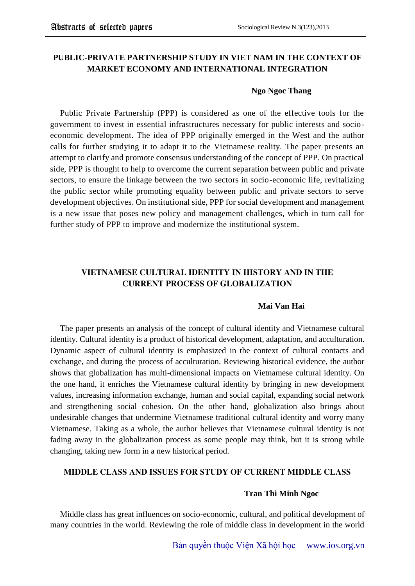## **PUBLIC-PRIVATE PARTNERSHIP STUDY IN VIET NAM IN THE CONTEXT OF MARKET ECONOMY AND INTERNATIONAL INTEGRATION**

### **Ngo Ngoc Thang**

Public Private Partnership (PPP) is considered as one of the effective tools for the government to invest in essential infrastructures necessary for public interests and socioeconomic development. The idea of PPP originally emerged in the West and the author calls for further studying it to adapt it to the Vietnamese reality. The paper presents an attempt to clarify and promote consensus understanding of the concept of PPP. On practical side, PPP is thought to help to overcome the current separation between public and private sectors, to ensure the linkage between the two sectors in socio-economic life, revitalizing the public sector while promoting equality between public and private sectors to serve development objectives. On institutional side, PPP for social development and management is a new issue that poses new policy and management challenges, which in turn call for further study of PPP to improve and modernize the institutional system.

# **VIETNAMESE CULTURAL IDENTITY IN HISTORY AND IN THE CURRENT PROCESS OF GLOBALIZATION**

### **Mai Van Hai**

The paper presents an analysis of the concept of cultural identity and Vietnamese cultural identity. Cultural identity is a product of historical development, adaptation, and acculturation. Dynamic aspect of cultural identity is emphasized in the context of cultural contacts and exchange, and during the process of acculturation. Reviewing historical evidence, the author shows that globalization has multi-dimensional impacts on Vietnamese cultural identity. On the one hand, it enriches the Vietnamese cultural identity by bringing in new development values, increasing information exchange, human and social capital, expanding social network and strengthening social cohesion. On the other hand, globalization also brings about undesirable changes that undermine Vietnamese traditional cultural identity and worry many Vietnamese. Taking as a whole, the author believes that Vietnamese cultural identity is not fading away in the globalization process as some people may think, but it is strong while changing, taking new form in a new historical period.

### **MIDDLE CLASS AND ISSUES FOR STUDY OF CURRENT MIDDLE CLASS**

#### **Tran Thi Minh Ngoc**

Middle class has great influences on socio-economic, cultural, and political development of many countries in the world. Reviewing the role of middle class in development in the world